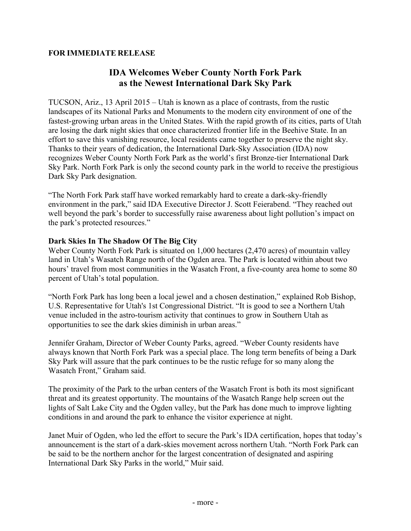## **FOR IMMEDIATE RELEASE**

# **IDA Welcomes Weber County North Fork Park as the Newest International Dark Sky Park**

TUCSON, Ariz., 13 April 2015 – Utah is known as a place of contrasts, from the rustic landscapes of its National Parks and Monuments to the modern city environment of one of the fastest-growing urban areas in the United States. With the rapid growth of its cities, parts of Utah are losing the dark night skies that once characterized frontier life in the Beehive State. In an effort to save this vanishing resource, local residents came together to preserve the night sky. Thanks to their years of dedication, the International Dark-Sky Association (IDA) now recognizes Weber County North Fork Park as the world's first Bronze-tier International Dark Sky Park. North Fork Park is only the second county park in the world to receive the prestigious Dark Sky Park designation.

"The North Fork Park staff have worked remarkably hard to create a dark-sky-friendly environment in the park," said IDA Executive Director J. Scott Feierabend. "They reached out well beyond the park's border to successfully raise awareness about light pollution's impact on the park's protected resources."

### **Dark Skies In The Shadow Of The Big City**

Weber County North Fork Park is situated on 1,000 hectares (2,470 acres) of mountain valley land in Utah's Wasatch Range north of the Ogden area. The Park is located within about two hours' travel from most communities in the Wasatch Front, a five-county area home to some 80 percent of Utah's total population.

"North Fork Park has long been a local jewel and a chosen destination," explained Rob Bishop, U.S. Representative for Utah's 1st Congressional District. "It is good to see a Northern Utah venue included in the astro-tourism activity that continues to grow in Southern Utah as opportunities to see the dark skies diminish in urban areas."

Jennifer Graham, Director of Weber County Parks, agreed. "Weber County residents have always known that North Fork Park was a special place. The long term benefits of being a Dark Sky Park will assure that the park continues to be the rustic refuge for so many along the Wasatch Front," Graham said.

The proximity of the Park to the urban centers of the Wasatch Front is both its most significant threat and its greatest opportunity. The mountains of the Wasatch Range help screen out the lights of Salt Lake City and the Ogden valley, but the Park has done much to improve lighting conditions in and around the park to enhance the visitor experience at night.

Janet Muir of Ogden, who led the effort to secure the Park's IDA certification, hopes that today's announcement is the start of a dark-skies movement across northern Utah. "North Fork Park can be said to be the northern anchor for the largest concentration of designated and aspiring International Dark Sky Parks in the world," Muir said.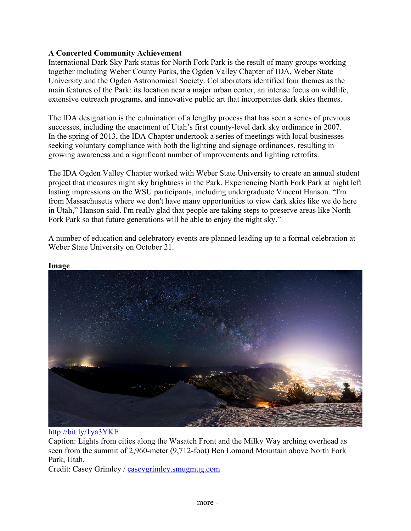## **A Concerted Community Achievement**

International Dark Sky Park status for North Fork Park is the result of many groups working together including Weber County Parks, the Ogden Valley Chapter of IDA, Weber State University and the Ogden Astronomical Society. Collaborators identified four themes as the main features of the Park: its location near a major urban center, an intense focus on wildlife, extensive outreach programs, and innovative public art that incorporates dark skies themes.

The IDA designation is the culmination of a lengthy process that has seen a series of previous successes, including the enactment of Utah's first county-level dark sky ordinance in 2007. In the spring of 2013, the IDA Chapter undertook a series of meetings with local businesses seeking voluntary compliance with both the lighting and signage ordinances, resulting in growing awareness and a significant number of improvements and lighting retrofits.

The IDA Ogden Valley Chapter worked with Weber State University to create an annual student project that measures night sky brightness in the Park. Experiencing North Fork Park at night left lasting impressions on the WSU participants, including undergraduate Vincent Hanson. "I'm from Massachusetts where we don't have many opportunities to view dark skies like we do here in Utah," Hanson said. I'm really glad that people are taking steps to preserve areas like North Fork Park so that future generations will be able to enjoy the night sky."

A number of education and celebratory events are planned leading up to a formal celebration at Weber State University on October 21.



**Image**

http://bit.ly/1ya3YKE

Caption: Lights from cities along the Wasatch Front and the Milky Way arching overhead as seen from the summit of 2,960-meter (9,712-foot) Ben Lomond Mountain above North Fork Park, Utah.

Credit: Casey Grimley / caseygrimley.smugmug.com